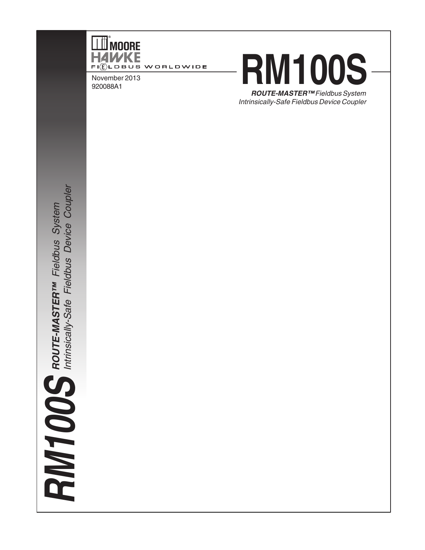

November 2013 920088A1

# **RM100S**

**ROUTE-MASTER™** Fieldbus System Intrinsically-Safe Fieldbus Device Coupler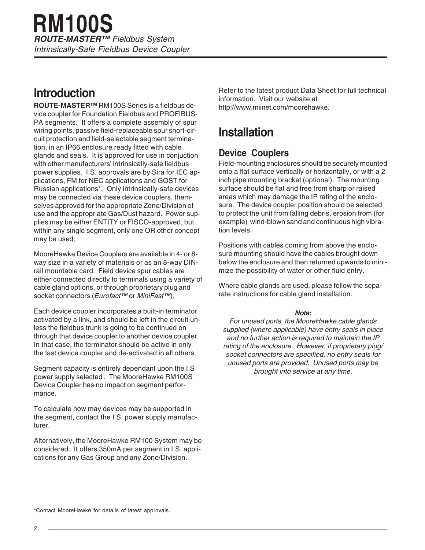### **Introduction**

**ROUTE-MASTER™** RM100S Series is a fieldbus device coupler for Foundation Fieldbus and PROFIBUS-PA segments. It offers a complete assembly of spur wiring points, passive field-replaceable spur short-circuit protection and field-selectable segment termination, in an IP66 enclosure ready fitted with cable glands and seals. It is approved for use in conjuction with other manufacturers' intrinsically-safe fieldbus power supplies. I.S. approvals are by Sira for IEC applications, FM for NEC applications and GOST for Russian applications\*. Only intrinsically-safe devices may be connected via these device couplers, themselves approved for the appropriate Zone/Division of use and the appropriate Gas/Dust hazard. Power supplies may be either ENTITY or FISCO-approved, but within any single segment, only one OR other concept may be used.

MooreHawke Device Couplers are available in 4- or 8 way size in a variety of materials or as an 8-way DINrail mountable card. Field device spur cables are either connected directly to terminals using a variety of cable gland options, or through proprietary plug and socket connectors (Eurofact™ or MiniFast™).

Each device coupler incorporates a built-in terminator activated by a link, and should be left in the circuit unless the fieldbus trunk is going to be continued on through that device coupler to another device coupler. In that case, the terminator should be active in only the last device coupler and de-activated in all others.

Segment capacity is entirely dependant upon the I.S power supply selected . The MooreHawke RM100S Device Coupler has no impact on segment performance.

To calculate how may devices may be supported in the segment, contact the I.S. power supply manufacturer.

Alternatively, the MooreHawke RM100 System may be considered. It offers 350mA per segment in I.S. applications for any Gas Group and any Zone/Division.

Refer to the latest product Data Sheet for full technical information. Visit our website at http://www.miinet.com/moorehawke.

### **Installation**

### **Device Couplers**

Field-mounting enclosures should be securely mounted onto a flat surface vertically or horizontally, or with a 2 inch pipe mounting bracket (optional). The mounting surface should be flat and free from sharp or raised areas which may damage the IP rating of the enclosure. The device coupler position should be selected to protect the unit from falling debris, erosion from (for example) wind-blown sand and continuous high vibration levels.

Positions with cables coming from above the enclosure mounting should have the cables brought down below the enclosure and then returned upwards to minimize the possibility of water or other fluid entry.

Where cable glands are used, please follow the separate instructions for cable gland installation.

#### **Note:**

For unused ports, the MooreHawke cable glands supplied (where applicable) have entry seals in place and no further action is required to maintain the IP rating of the enclosure. However, if proprietary plug/ socket connectors are specified, no entry seals for unused ports are provided. Unused ports may be brought into service at any time.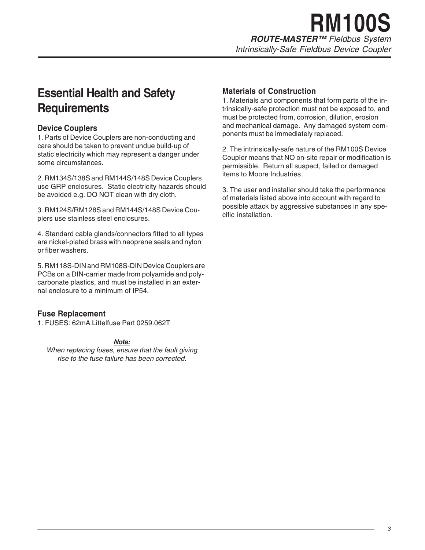# **RM100S**

**ROUTE-MASTER™** Fieldbus System

Intrinsically-Safe Fieldbus Device Coupler

### **Essential Health and Safety Requirements**

### **Device Couplers**

1. Parts of Device Couplers are non-conducting and care should be taken to prevent undue build-up of static electricity which may represent a danger under some circumstances.

2. RM134S/138S and RM144S/148S Device Couplers use GRP enclosures. Static electricity hazards should be avoided e.g. DO NOT clean with dry cloth.

3. RM124S/RM128S and RM144S/148S Device Couplers use stainless steel enclosures.

4. Standard cable glands/connectors fitted to all types are nickel-plated brass with neoprene seals and nylon or fiber washers.

5. RM118S-DIN and RM108S-DIN Device Couplers are PCBs on a DIN-carrier made from polyamide and polycarbonate plastics, and must be installed in an external enclosure to a minimum of IP54.

### **Fuse Replacement**

1. FUSES: 62mA Littelfuse Part 0259.062T

#### **Note:**

When replacing fuses, ensure that the fault giving rise to the fuse failure has been corrected.

### **Materials of Construction**

1. Materials and components that form parts of the intrinsically-safe protection must not be exposed to, and must be protected from, corrosion, dilution, erosion and mechanical damage. Any damaged system components must be immediately replaced.

2. The intrinsically-safe nature of the RM100S Device Coupler means that NO on-site repair or modification is permissible. Return all suspect, failed or damaged items to Moore Industries.

3. The user and installer should take the performance of materials listed above into account with regard to possible attack by aggressive substances in any specific installation.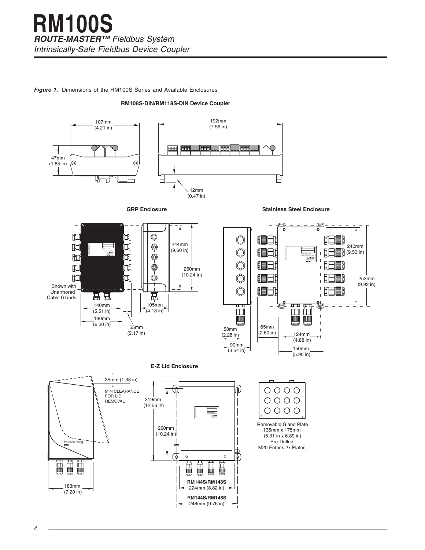#### **Figure 1.** Dimensions of the RM100S Series and Available Enclosures

#### **RM108S-DIN/RM118S-DIN Device Coupler**







**Stainless Steel Enclosure**





#### **E-Z Lid Enclosure**





135mm x 175mm (5.31 in x 6.89 in) Pre-Drilled M20 Entries 2x Plates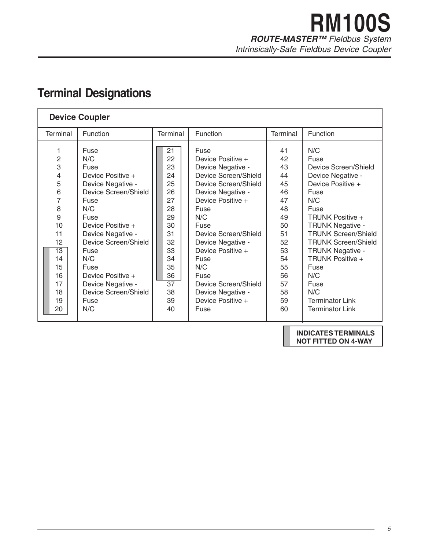### **RM100S ROUTE-MASTER™** Fieldbus System Intrinsically-Safe Fieldbus Device Coupler

### **Terminal Designations**

| <b>Device Coupler</b>                                                                                                                              |                                                                                                                                                                                                                                                                                        |                 |                                                                                                                                   |                                                                                                                                                                                                                                                                                                                                    |                                                                                                                      |                                                                                                                                                                                                                                                                                                                                                                |  |
|----------------------------------------------------------------------------------------------------------------------------------------------------|----------------------------------------------------------------------------------------------------------------------------------------------------------------------------------------------------------------------------------------------------------------------------------------|-----------------|-----------------------------------------------------------------------------------------------------------------------------------|------------------------------------------------------------------------------------------------------------------------------------------------------------------------------------------------------------------------------------------------------------------------------------------------------------------------------------|----------------------------------------------------------------------------------------------------------------------|----------------------------------------------------------------------------------------------------------------------------------------------------------------------------------------------------------------------------------------------------------------------------------------------------------------------------------------------------------------|--|
| <b>Terminal</b>                                                                                                                                    | Function                                                                                                                                                                                                                                                                               | <b>Terminal</b> |                                                                                                                                   | Function                                                                                                                                                                                                                                                                                                                           | Terminal                                                                                                             | Function                                                                                                                                                                                                                                                                                                                                                       |  |
| 1<br>$\overline{c}$<br>3<br>$\overline{4}$<br>5<br>6<br>7<br>8<br>9<br>10<br>11<br>12<br>$\overline{13}$<br>14<br>15<br>16<br>17<br>18<br>19<br>20 | Fuse<br>N/C<br>Fuse<br>Device Positive +<br>Device Negative -<br>Device Screen/Shield<br>Fuse<br>N/C<br>Fuse<br>Device Positive +<br>Device Negative -<br>Device Screen/Shield<br>Fuse<br>N/C<br>Fuse<br>Device Positive +<br>Device Negative -<br>Device Screen/Shield<br>Fuse<br>N/C |                 | 21<br>22<br>23<br>24<br>25<br>26<br>27<br>28<br>29<br>30<br>31<br>32<br>33<br>34<br>35<br>36<br>$\overline{37}$<br>38<br>39<br>40 | Fuse<br>Device Positive +<br>Device Negative -<br>Device Screen/Shield<br>Device Screen/Shield<br>Device Negative -<br>Device Positive +<br>Fuse<br>N/C<br>Fuse<br>Device Screen/Shield<br>Device Negative -<br>Device Positive +<br>Fuse<br>N/C<br>Fuse<br>Device Screen/Shield<br>Device Negative -<br>Device Positive +<br>Fuse | 41<br>42<br>43<br>44<br>45<br>46<br>47<br>48<br>49<br>50<br>51<br>52<br>53<br>54<br>55<br>56<br>57<br>58<br>59<br>60 | N/C<br>Fuse<br>Device Screen/Shield<br>Device Negative -<br>Device Positive +<br>Fuse<br>N/C<br>Fuse<br><b>TRUNK Positive +</b><br><b>TRUNK Negative -</b><br><b>TRUNK Screen/Shield</b><br><b>TRUNK Screen/Shield</b><br><b>TRUNK Negative -</b><br><b>TRUNK Positive +</b><br>Fuse<br>N/C<br>Fuse<br>N/C<br><b>Terminator Link</b><br><b>Terminator Link</b> |  |

**INDICATES TERMINALS NOT FITTED ON 4-WAY**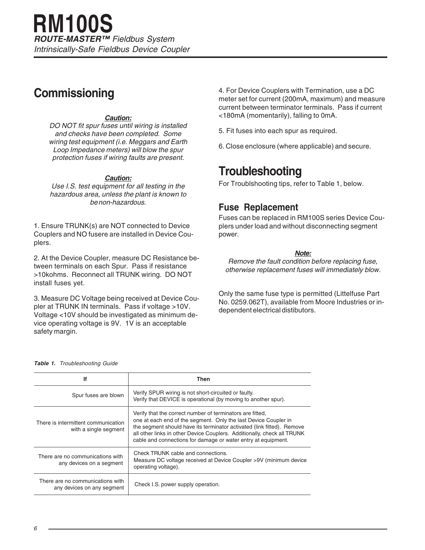### **Commissioning**

#### **Caution:**

DO NOT fit spur fuses until wiring is installed and checks have been completed. Some wiring test equipment (i.e. Meggars and Earth Loop Impedance meters) will blow the spur protection fuses if wiring faults are present.

#### **Caution:**

Use I.S. test equipment for all testing in the hazardous area, unless the plant is known to be non-hazardous.

1. Ensure TRUNK(s) are NOT connected to Device Couplers and NO fusere are installed in Device Couplers.

2. At the Device Coupler, measure DC Resistance between terminals on each Spur. Pass if resistance >10kohms. Reconnect all TRUNK wiring. DO NOT install fuses yet.

3. Measure DC Voltage being received at Device Coupler at TRUNK IN terminals. Pass if voltage >10V. Voltage <10V should be investigated as minimum device operating voltage is 9V. 1V is an acceptable safety margin.

4. For Device Couplers with Termination, use a DC meter set for current (200mA, maximum) and measure current between terminator terminals. Pass if current <180mA (momentarily), falling to 0mA.

- 5. Fit fuses into each spur as required.
- 6. Close enclosure (where applicable) and secure.

### **Troubleshooting**

For Troublshooting tips, refer to Table 1, below.

### **Fuse Replacement**

Fuses can be replaced in RM100S series Device Couplers under load and without disconnecting segment power.

#### **Note:**

Remove the fault condition before replacing fuse, otherwise replacement fuses will immediately blow.

Only the same fuse type is permitted (Littelfuse Part No. 0259.062T), available from Moore Industries or independent electrical distibutors.

#### **Table 1.** Troubleshooting Guide

| lf                                                             | Then                                                                                                                                                                                                                                                                                                                                               |  |  |
|----------------------------------------------------------------|----------------------------------------------------------------------------------------------------------------------------------------------------------------------------------------------------------------------------------------------------------------------------------------------------------------------------------------------------|--|--|
| Spur fuses are blown                                           | Verify SPUR wiring is not short-circuited or faulty.<br>Verify that DEVICE is operational (by moving to another spur).                                                                                                                                                                                                                             |  |  |
| There is intermittent communication<br>with a single segment   | Verify that the correct number of terminators are fitted,<br>one at each end of the segment. Only the last Device Coupler in<br>the segment should have its terminator activated (link fitted). Remove<br>all other links in other Device Couplers. Additionally, check all TRUNK<br>cable and connections for damage or water entry at equipment. |  |  |
| There are no communications with<br>any devices on a segment   | Check TRUNK cable and connections.<br>Measure DC voltage received at Device Coupler >9V (minimum device<br>operating voltage).                                                                                                                                                                                                                     |  |  |
| There are no communications with<br>any devices on any segment | Check I.S. power supply operation.                                                                                                                                                                                                                                                                                                                 |  |  |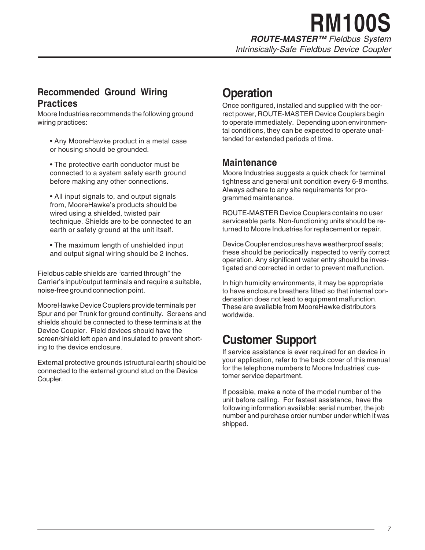# **RM100S**

**ROUTE-MASTER™** Fieldbus System

Intrinsically-Safe Fieldbus Device Coupler

### **Recommended Ground Wiring Practices**

Moore Industries recommends the following ground wiring practices:

- Any MooreHawke product in a metal case or housing should be grounded.
- The protective earth conductor must be connected to a system safety earth ground before making any other connections.

• All input signals to, and output signals from, MooreHawke's products should be wired using a shielded, twisted pair technique. Shields are to be connected to an earth or safety ground at the unit itself.

• The maximum length of unshielded input and output signal wiring should be 2 inches.

Fieldbus cable shields are "carried through" the Carrier's input/output terminals and require a suitable, noise-free ground connection point.

MooreHawke Device Couplers provide terminals per Spur and per Trunk for ground continuity. Screens and shields should be connected to these terminals at the Device Coupler. Field devices should have the screen/shield left open and insulated to prevent shorting to the device enclosure.

External protective grounds (structural earth) should be connected to the external ground stud on the Device Coupler.

### **Operation**

Once configured, installed and supplied with the correct power, ROUTE-MASTER Device Couplers begin to operate immediately. Depending upon environmental conditions, they can be expected to operate unattended for extended periods of time.

### **Maintenance**

Moore Industries suggests a quick check for terminal tightness and general unit condition every 6-8 months. Always adhere to any site requirements for programmed maintenance.

ROUTE-MASTER Device Couplers contains no user serviceable parts. Non-functioning units should be returned to Moore Industries for replacement or repair.

Device Coupler enclosures have weatherproof seals; these should be periodically inspected to verify correct operation. Any significant water entry should be investigated and corrected in order to prevent malfunction.

In high humidity environments, it may be appropriate to have enclosure breathers fitted so that internal condensation does not lead to equipment malfunction. These are available from MooreHawke distributors worldwide.

### **Customer Support**

If service assistance is ever required for an device in your application, refer to the back cover of this manual for the telephone numbers to Moore Industries' customer service department.

If possible, make a note of the model number of the unit before calling. For fastest assistance, have the following information available: serial number, the job number and purchase order number under which it was shipped.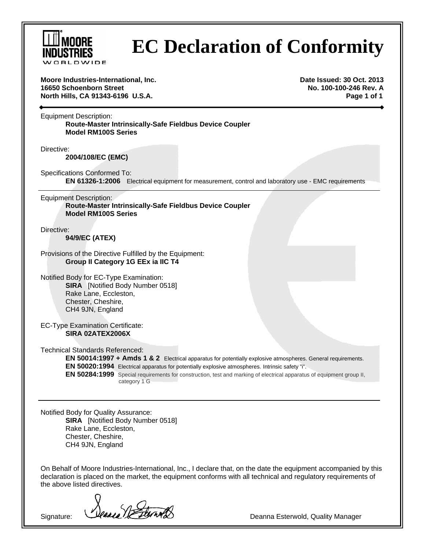

# **EC Declaration of Conformity**

**Moore Industries-International, Inc. Date Issued: 30 Oct. 2013 16650 Schoenborn Street No. 100-100-246 Rev. A North Hills, CA 91343-6196 U.S.A. Page 1 of 1** 

Equipment Description: **Route-Master Intrinsically-Safe Fieldbus Device Coupler Model RM100S Series** 

Directive:

**2004/108/EC (EMC)**

Specifications Conformed To: **EN 61326-1:2006** Electrical equipment for measurement, control and laboratory use - EMC requirements

Equipment Description: **Route-Master Intrinsically-Safe Fieldbus Device Coupler Model RM100S Series** 

Directive:

**94/9/EC (ATEX)**

Provisions of the Directive Fulfilled by the Equipment: **Group II Category 1G EEx ia IIC T4**

Notified Body for EC-Type Examination: **SIRA** [Notified Body Number 0518] Rake Lane, Eccleston, Chester, Cheshire, CH4 9JN, England

EC-Type Examination Certificate: **SIRA 02ATEX2006X**

Technical Standards Referenced:

**EN 50014:1997 + Amds 1 & 2** Electrical apparatus for potentially explosive atmospheres. General requirements. **EN 50020:1994** Electrical apparatus for potentially explosive atmospheres. Intrinsic safety "i". **EN 50284:1999** Special requirements for construction, test and marking of electrical apparatus of equipment group II, category 1 G

Notified Body for Quality Assurance: **SIRA** [Notified Body Number 0518] Rake Lane, Eccleston, Chester, Cheshire, CH4 9JN, England

On Behalf of Moore Industries-International, Inc., I declare that, on the date the equipment accompanied by this declaration is placed on the market, the equipment conforms with all technical and regulatory requirements of the above listed directives.

Signature: *Deanna* Charles Communication of Deanna Esterwold, Quality Manager